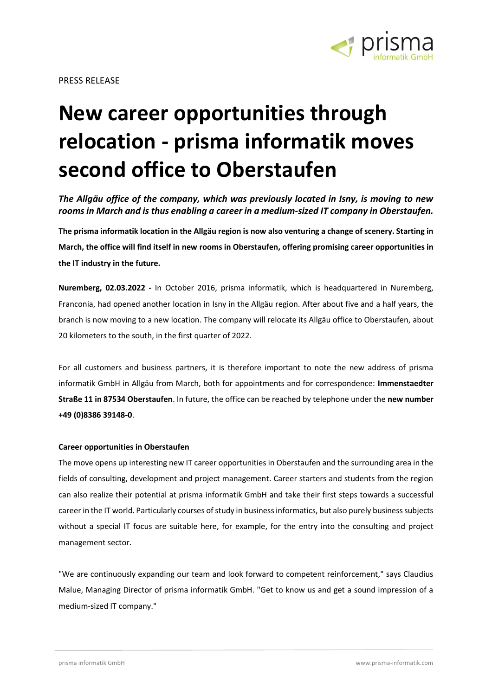

## **New career opportunities through relocation - prisma informatik moves second office to Oberstaufen**

*The Allgäu office of the company, which was previously located in Isny, is moving to new rooms in March and is thus enabling a career in a medium-sized IT company in Oberstaufen.*

**The prisma informatik location in the Allgäu region is now also venturing a change of scenery. Starting in March, the office will find itself in new rooms in Oberstaufen, offering promising career opportunities in the IT industry in the future.**

**Nuremberg, 02.03.2022 -** In October 2016, prisma informatik, which is headquartered in Nuremberg, Franconia, had opened another location in Isny in the Allgäu region. After about five and a half years, the branch is now moving to a new location. The company will relocate its Allgäu office to Oberstaufen, about 20 kilometers to the south, in the first quarter of 2022.

For all customers and business partners, it is therefore important to note the new address of prisma informatik GmbH in Allgäu from March, both for appointments and for correspondence: **Immenstaedter Straße 11 in 87534 Oberstaufen**. In future, the office can be reached by telephone under the **new number +49 (0)8386 39148-0**.

## **Career opportunities in Oberstaufen**

The move opens up interesting new IT career opportunities in Oberstaufen and the surrounding area in the fields of consulting, development and project management. Career starters and students from the region can also realize their potential at prisma informatik GmbH and take their first steps towards a successful career in the IT world. Particularly courses of study in business informatics, but also purely business subjects without a special IT focus are suitable here, for example, for the entry into the consulting and project management sector.

"We are continuously expanding our team and look forward to competent reinforcement," says Claudius Malue, Managing Director of prisma informatik GmbH. "Get to know us and get a sound impression of a medium-sized IT company."